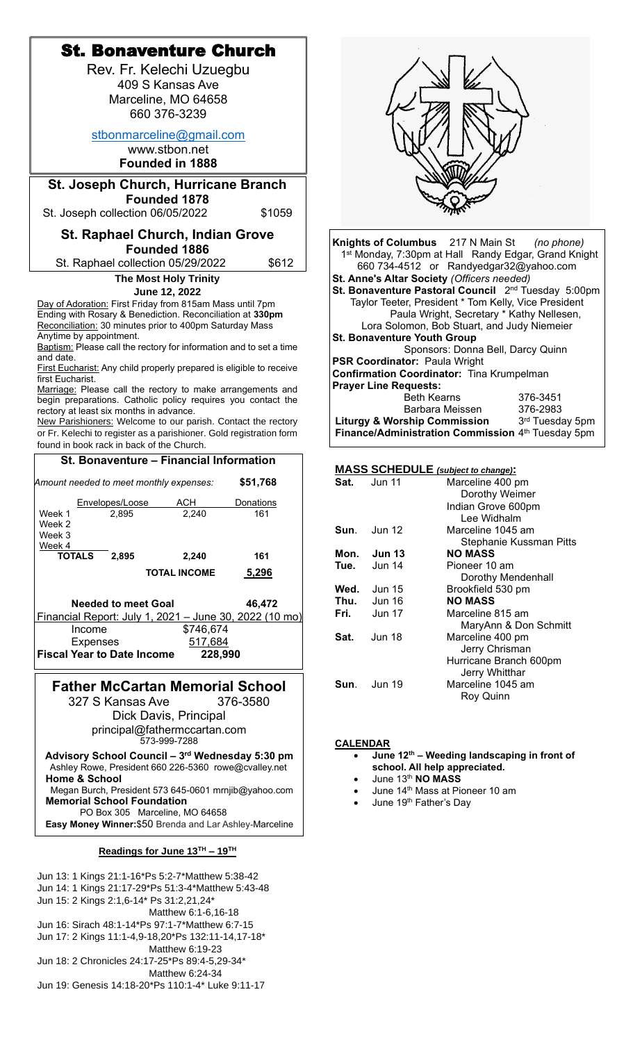| <b>St. Bonaventure Church</b>                                                                                        |                                                                                          |
|----------------------------------------------------------------------------------------------------------------------|------------------------------------------------------------------------------------------|
| Rev. Fr. Kelechi Uzuegbu                                                                                             |                                                                                          |
| 409 S Kansas Ave                                                                                                     |                                                                                          |
| Marceline, MO 64658                                                                                                  |                                                                                          |
| 660 376-3239                                                                                                         |                                                                                          |
|                                                                                                                      |                                                                                          |
| stbonmarceline@gmail.com                                                                                             |                                                                                          |
| www.stbon.net                                                                                                        |                                                                                          |
| <b>Founded in 1888</b>                                                                                               |                                                                                          |
|                                                                                                                      |                                                                                          |
| <b>St. Joseph Church, Hurricane Branch</b><br>Founded 1878                                                           |                                                                                          |
| \$1059<br>St. Joseph collection 06/05/2022                                                                           |                                                                                          |
|                                                                                                                      |                                                                                          |
| <b>St. Raphael Church, Indian Grove</b>                                                                              | Knights of Columbus 217 N Main St<br>(no phone)                                          |
| <b>Founded 1886</b>                                                                                                  | 1 <sup>st</sup> Monday, 7:30pm at Hall Randy Edgar, Grand Knight                         |
| \$612<br>St. Raphael collection 05/29/2022                                                                           | 660 734-4512 or Randyedgar32@yahoo.com                                                   |
| <b>The Most Holy Trinity</b>                                                                                         | St. Anne's Altar Society (Officers needed)                                               |
| June 12, 2022                                                                                                        | St. Bonaventure Pastoral Council 2 <sup>nd</sup> Tuesday 5:00pm                          |
| Day of Adoration: First Friday from 815am Mass until 7pm                                                             | Taylor Teeter, President * Tom Kelly, Vice President                                     |
| Ending with Rosary & Benediction. Reconciliation at 330pm<br>Reconciliation: 30 minutes prior to 400pm Saturday Mass | Paula Wright, Secretary * Kathy Nellesen,<br>Lora Solomon, Bob Stuart, and Judy Niemeier |
| Anytime by appointment.                                                                                              | <b>St. Bonaventure Youth Group</b>                                                       |
| Baptism: Please call the rectory for information and to set a time                                                   | Sponsors: Donna Bell, Darcy Quinn                                                        |
| and date.                                                                                                            | PSR Coordinator: Paula Wright                                                            |
| First Eucharist: Any child properly prepared is eligible to receive<br>first Eucharist.                              | Confirmation Coordinator: Tina Krumpelman                                                |
| Marriage: Please call the rectory to make arrangements and                                                           | <b>Prayer Line Requests:</b>                                                             |
| begin preparations. Catholic policy requires you contact the                                                         | <b>Beth Kearns</b><br>376-3451<br>376-2983<br>Barbara Meissen                            |
| rectory at least six months in advance.<br>New Parishioners: Welcome to our parish. Contact the rectory              | <b>Liturgy &amp; Worship Commission</b><br>3rd Tuesday 5pm                               |
| or Fr. Kelechi to register as a parishioner. Gold registration form                                                  | Finance/Administration Commission 4th Tuesday 5pm                                        |
| found in book rack in back of the Church.                                                                            |                                                                                          |
| St. Bonaventure - Financial Information                                                                              |                                                                                          |
|                                                                                                                      | <b>MASS SCHEDULE</b> (subject to change):                                                |
| \$51,768<br>Amount needed to meet monthly expenses:                                                                  | Sat.<br><b>Jun 11</b><br>Marceline 400 pm<br>Dorothy Weimer                              |
| <b>ACH</b><br>Envelopes/Loose<br><b>Donations</b>                                                                    | Indian Grove 600pm                                                                       |
| Week 1<br>161<br>2,895<br>2,240<br>Week 2                                                                            | Lee Widhalm                                                                              |
| Week 3                                                                                                               | <b>Jun 12</b><br>Marceline 1045 am<br>Sun.                                               |
| Week 4                                                                                                               | Stephanie Kussman Pitts                                                                  |
| <b>TOTALS</b><br>2,895<br>161<br>2,240                                                                               | <b>Jun 13</b><br><b>NO MASS</b><br>Mon.<br>Tue.<br><b>Jun 14</b><br>Pioneer 10 am        |
| 5,296<br><b>TOTAL INCOME</b>                                                                                         | Dorothy Mendenhall                                                                       |
|                                                                                                                      | <b>Jun 15</b><br>Brookfield 530 pm<br>Wed.                                               |
| <b>Needed to meet Goal</b><br>46,472                                                                                 | Thu.<br><b>NO MASS</b><br><b>Jun 16</b>                                                  |
| Financial Report: July 1, 2021 - June 30, 2022 (10 mo)                                                               | Fri.<br><b>Jun 17</b><br>Marceline 815 am                                                |
| \$746,674<br>Income                                                                                                  | MaryAnn & Don Schmitt<br>Sat.<br>Jun 18<br>Marceline 400 pm                              |
| 517,684<br><b>Expenses</b>                                                                                           | Jerry Chrisman                                                                           |
| <b>Fiscal Year to Date Income</b><br>228,990                                                                         | Hurricane Branch 600pm                                                                   |
|                                                                                                                      | Jerry Whitthar                                                                           |
| <b>Father McCartan Memorial School</b>                                                                               | Marceline 1045 am<br><b>Jun 19</b><br>Sun.                                               |
| 376-3580<br>327 S Kansas Ave                                                                                         | Roy Quinn                                                                                |
| Dick Davis, Principal                                                                                                |                                                                                          |
| principal@fathermccartan.com                                                                                         |                                                                                          |
| 573-999-7288                                                                                                         | <b>CALENDAR</b>                                                                          |
| Advisory School Council - 3rd Wednesday 5:30 pm                                                                      | June 12 <sup>th</sup> – Weeding landscaping in front of                                  |
| Ashley Rowe, President 660 226-5360 rowe@cvalley.net<br><b>Home &amp; School</b>                                     | school. All help appreciated.<br>June 13th NO MASS                                       |
| Megan Burch, President 573 645-0601 mrnjib@yahoo.com                                                                 | June 14 <sup>th</sup> Mass at Pioneer 10 am<br>$\bullet$                                 |
| <b>Memorial School Foundation</b>                                                                                    | June 19 <sup>th</sup> Father's Day<br>$\bullet$                                          |
| PO Box 305 Marceline, MO 64658                                                                                       |                                                                                          |
| Easy Money Winner: \$50 Brenda and Lar Ashley-Marceline                                                              |                                                                                          |
| Readings for June $13^{TH}$ – $19^{TH}$                                                                              |                                                                                          |
| Jun 13: 1 Kings 21:1-16*Ps 5:2-7*Matthew 5:38-42                                                                     |                                                                                          |
| Jun 14: 1 Kings 21:17-29*Ps 51:3-4*Matthew 5:43-48                                                                   |                                                                                          |
| Jun 15: 2 Kings 2:1,6-14* Ps 31:2,21,24*                                                                             |                                                                                          |
| Matthew 6:1-6,16-18                                                                                                  |                                                                                          |
| Jun 16: Sirach 48:1-14*Ps 97:1-7*Matthew 6:7-15                                                                      |                                                                                          |

Jun 17: 2 Kings 11:1-4,9-18,20\*Ps 132:11-14,17-18\* Matthew 6:19-23 Jun 18: 2 Chronicles 24:17-25\*Ps 89:4-5,29-34\*

Matthew 6:24-34

Jun 19: Genesis 14:18-20\*Ps 110:1-4\* Luke 9:11-17